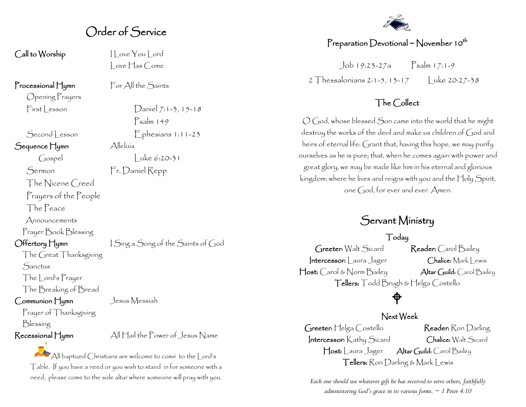# Order of Service

Call to Worship I Love You Lord

Opening Prayers

Sequence Hymn Alleluía

Sermon Fr. Daniel Repp

The Nicene Creed

The Peace

Announcements

Prayer Book Blessing

The Great Thanksgiving

Prayers of the People

**Sanctus** 

The Lord's Prayer

The Breaking of Bread

Communion Hymn Jesus Messiah

Prayer of Thanksgiving

Blessing

 $\vert$  ove  $\vert \vert$  as Come

Processional Hymn For All the Saints

First esson Daniel  $7:1-3, 15-18$ Psalm 149 Second Lesson Ephesians 1:11-23  $\int \csc(10.5) \arccos(10.5) \arccos(10.5) \arccos(10.5) \arccos(10.5) \arccos(10.5) \arccos(10.5) \arccos(10.5) \arccos(10.5) \arccos(10.5) \arccos(10.5) \arccos(10.5) \arccos(10.5) \arccos(10.5) \arccos(10.5) \arccos(10.5) \arccos(10.5) \arccos(10.5) \arccos(10.5) \arccos(10.5) \arccos(10.5) \arccos(10.5$ 

Offertory Hymn I Sing a Song of the Saints of God

Recessional Hymn All Hail the Power of Jesus Name

All baptized Christians are welcome to come to the Lord's Table. If you have a need or you wish to stand in for someone with a need, please come to the side altar where someone will pray with you.



# Preparation Devotional ~ November 10<sup>th</sup>

Job 19:23-27a Psalm 17:1-9 2 Thessalonians 2:1-5, 13-17 | uke 20:27-38

## The Collect

O God, whose blessed Son came into the world that he might destroy the works of the devil and make us children of God and heirs of eternal life: Grant that, having this hope, we may purify ourselves as he is pure; that, when he comes again with power and great glory, we may be made like him in his eternal and glorious kingdom; where he lives and reigns with you and the Holy Spirit, one God, for ever and ever. Amen.

# Servant Ministry

### Today

Greeter: Walt Sicard Reader: Carol Bailey Intercessor: Laura Jager Chalice: Mark Lewis Host: Carol & Norm Bailey Altar Guild: Carol Bailey Tellers: Todd Brugh & Helga Costello

# $\bigoplus$

### Next Week

Greeter: Helga Costello Reader: Ron Darling Intercessor: Kathy Sicard Chalice: Walt Sicard Host: Laura Jager Altar Guild: Carol Bailey Tellers: Ron Darling & Mark Lewis

*Each one should use whatever gift he has received to serve others, faithfully administering God's grace in its various forms. ~ 1 Peter 4:10*